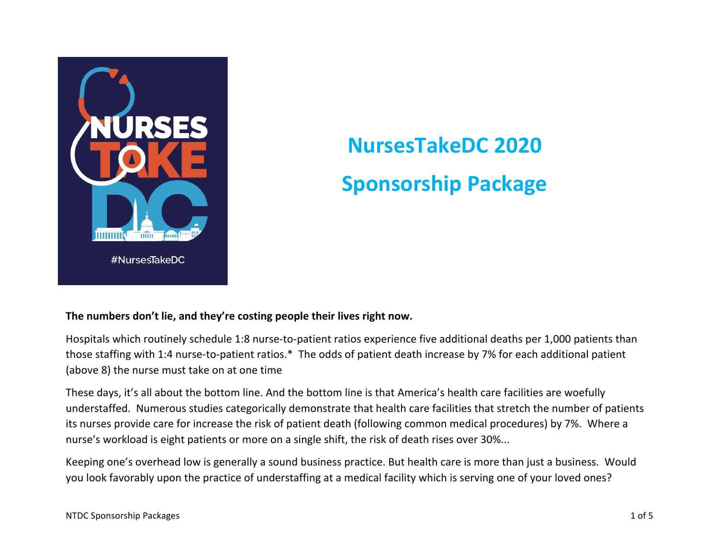

# **NursesTakeDC 2020 Sponsorship Package**

# The numbers don't lie, and they're costing people their lives right now.

Hospitals which routinely schedule 1:8 nurse-to-patient ratios experience five additional deaths per 1,000 patients than those staffing with 1:4 nurse-to-patient ratios.\* The odds of patient death increase by 7% for each additional patient (above 8) the nurse must take on at one time

These days, it's all about the bottom line. And the bottom line is that America's health care facilities are woefully understaffed. Numerous studies categorically demonstrate that health care facilities that stretch the number of patients its nurses provide care for increase the risk of patient death (following common medical procedures) by 7%. Where a nurse's workload is eight patients or more on a single shift, the risk of death rises over 30%...

Keeping one's overhead low is generally a sound business practice. But health care is more than just a business. Would you look favorably upon the practice of understaffing at a medical facility which is serving one of your loved ones?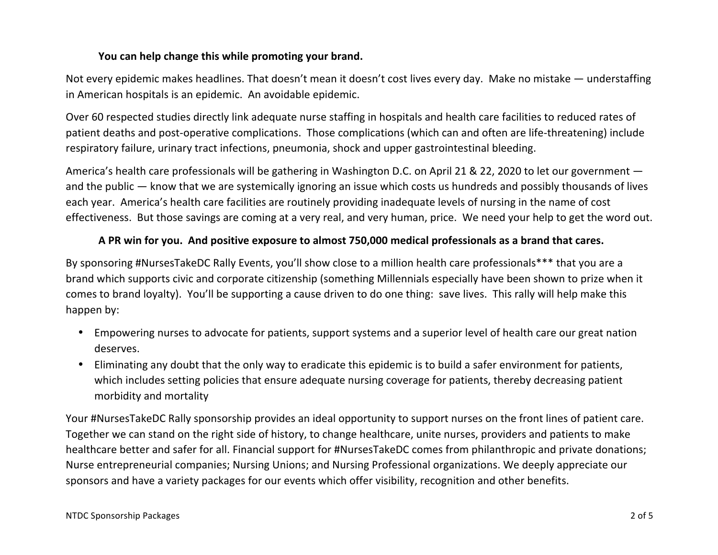# You can help change this while promoting your brand.

Not every epidemic makes headlines. That doesn't mean it doesn't cost lives every day. Make no mistake — understaffing in American hospitals is an epidemic. An avoidable epidemic.

Over 60 respected studies directly link adequate nurse staffing in hospitals and health care facilities to reduced rates of patient deaths and post-operative complications. Those complications (which can and often are life-threatening) include respiratory failure, urinary tract infections, pneumonia, shock and upper gastrointestinal bleeding.

America's health care professionals will be gathering in Washington D.C. on April 21 & 22, 2020 to let our government  $$ and the public — know that we are systemically ignoring an issue which costs us hundreds and possibly thousands of lives each year. America's health care facilities are routinely providing inadequate levels of nursing in the name of cost effectiveness. But those savings are coming at a very real, and very human, price. We need your help to get the word out.

# A PR win for you. And positive exposure to almost 750,000 medical professionals as a brand that cares.

By sponsoring #NursesTakeDC Rally Events, you'll show close to a million health care professionals\*\*\* that you are a brand which supports civic and corporate citizenship (something Millennials especially have been shown to prize when it comes to brand loyalty). You'll be supporting a cause driven to do one thing: save lives. This rally will help make this happen by:

- Empowering nurses to advocate for patients, support systems and a superior level of health care our great nation deserves.
- Eliminating any doubt that the only way to eradicate this epidemic is to build a safer environment for patients, which includes setting policies that ensure adequate nursing coverage for patients, thereby decreasing patient morbidity and mortality

Your #NursesTakeDC Rally sponsorship provides an ideal opportunity to support nurses on the front lines of patient care. Together we can stand on the right side of history, to change healthcare, unite nurses, providers and patients to make healthcare better and safer for all. Financial support for #NursesTakeDC comes from philanthropic and private donations; Nurse entrepreneurial companies; Nursing Unions; and Nursing Professional organizations. We deeply appreciate our sponsors and have a variety packages for our events which offer visibility, recognition and other benefits.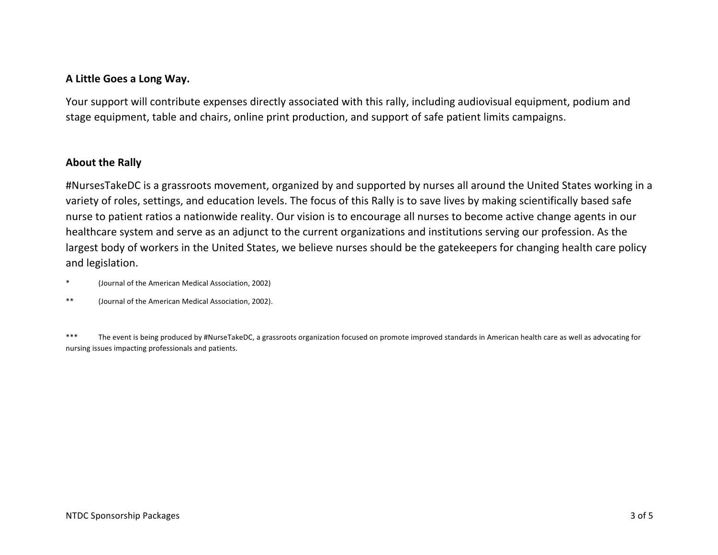## **A Little Goes a Long Way.**

Your support will contribute expenses directly associated with this rally, including audiovisual equipment, podium and stage equipment, table and chairs, online print production, and support of safe patient limits campaigns.

#### **About the Rally**

#NursesTakeDC is a grassroots movement, organized by and supported by nurses all around the United States working in a variety of roles, settings, and education levels. The focus of this Rally is to save lives by making scientifically based safe nurse to patient ratios a nationwide reality. Our vision is to encourage all nurses to become active change agents in our healthcare system and serve as an adjunct to the current organizations and institutions serving our profession. As the largest body of workers in the United States, we believe nurses should be the gatekeepers for changing health care policy and legislation.

\* (Journal of the American Medical Association, 2002)

\*\* (Journal of the American Medical Association, 2002).

\*\*\* The event is being produced by #NurseTakeDC, a grassroots organization focused on promote improved standards in American health care as well as advocating for nursing issues impacting professionals and patients.